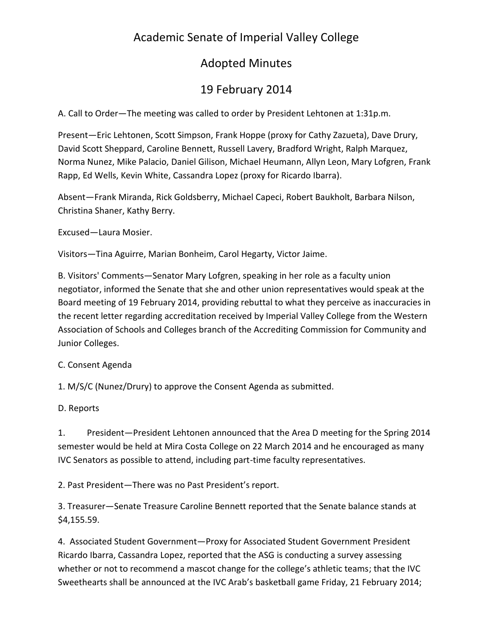# Academic Senate of Imperial Valley College

## Adopted Minutes

# 19 February 2014

A. Call to Order—The meeting was called to order by President Lehtonen at 1:31p.m.

Present—Eric Lehtonen, Scott Simpson, Frank Hoppe (proxy for Cathy Zazueta), Dave Drury, David Scott Sheppard, Caroline Bennett, Russell Lavery, Bradford Wright, Ralph Marquez, Norma Nunez, Mike Palacio, Daniel Gilison, Michael Heumann, Allyn Leon, Mary Lofgren, Frank Rapp, Ed Wells, Kevin White, Cassandra Lopez (proxy for Ricardo Ibarra).

Absent—Frank Miranda, Rick Goldsberry, Michael Capeci, Robert Baukholt, Barbara Nilson, Christina Shaner, Kathy Berry.

Excused—Laura Mosier.

Visitors—Tina Aguirre, Marian Bonheim, Carol Hegarty, Victor Jaime.

B. Visitors' Comments—Senator Mary Lofgren, speaking in her role as a faculty union negotiator, informed the Senate that she and other union representatives would speak at the Board meeting of 19 February 2014, providing rebuttal to what they perceive as inaccuracies in the recent letter regarding accreditation received by Imperial Valley College from the Western Association of Schools and Colleges branch of the Accrediting Commission for Community and Junior Colleges.

## C. Consent Agenda

1. M/S/C (Nunez/Drury) to approve the Consent Agenda as submitted.

D. Reports

1. President—President Lehtonen announced that the Area D meeting for the Spring 2014 semester would be held at Mira Costa College on 22 March 2014 and he encouraged as many IVC Senators as possible to attend, including part-time faculty representatives.

2. Past President—There was no Past President's report.

3. Treasurer—Senate Treasure Caroline Bennett reported that the Senate balance stands at \$4,155.59.

4. Associated Student Government—Proxy for Associated Student Government President Ricardo Ibarra, Cassandra Lopez, reported that the ASG is conducting a survey assessing whether or not to recommend a mascot change for the college's athletic teams; that the IVC Sweethearts shall be announced at the IVC Arab's basketball game Friday, 21 February 2014;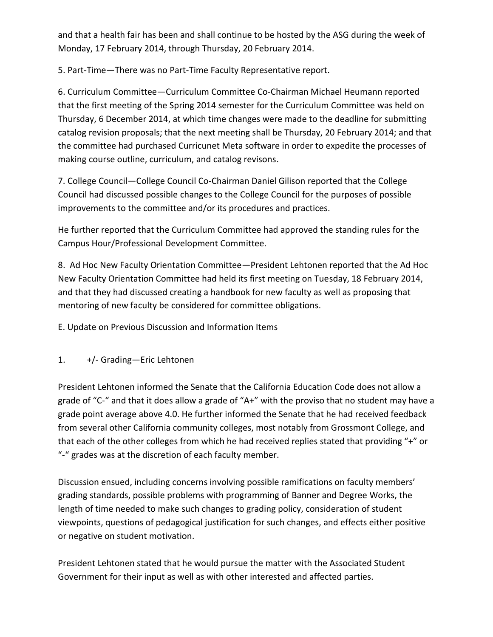and that a health fair has been and shall continue to be hosted by the ASG during the week of Monday, 17 February 2014, through Thursday, 20 February 2014.

5. Part-Time—There was no Part-Time Faculty Representative report.

6. Curriculum Committee—Curriculum Committee Co-Chairman Michael Heumann reported that the first meeting of the Spring 2014 semester for the Curriculum Committee was held on Thursday, 6 December 2014, at which time changes were made to the deadline for submitting catalog revision proposals; that the next meeting shall be Thursday, 20 February 2014; and that the committee had purchased Curricunet Meta software in order to expedite the processes of making course outline, curriculum, and catalog revisons.

7. College Council—College Council Co-Chairman Daniel Gilison reported that the College Council had discussed possible changes to the College Council for the purposes of possible improvements to the committee and/or its procedures and practices.

He further reported that the Curriculum Committee had approved the standing rules for the Campus Hour/Professional Development Committee.

8. Ad Hoc New Faculty Orientation Committee—President Lehtonen reported that the Ad Hoc New Faculty Orientation Committee had held its first meeting on Tuesday, 18 February 2014, and that they had discussed creating a handbook for new faculty as well as proposing that mentoring of new faculty be considered for committee obligations.

E. Update on Previous Discussion and Information Items

1. +/- Grading—Eric Lehtonen

President Lehtonen informed the Senate that the California Education Code does not allow a grade of "C-" and that it does allow a grade of "A+" with the proviso that no student may have a grade point average above 4.0. He further informed the Senate that he had received feedback from several other California community colleges, most notably from Grossmont College, and that each of the other colleges from which he had received replies stated that providing "+" or "-" grades was at the discretion of each faculty member.

Discussion ensued, including concerns involving possible ramifications on faculty members' grading standards, possible problems with programming of Banner and Degree Works, the length of time needed to make such changes to grading policy, consideration of student viewpoints, questions of pedagogical justification for such changes, and effects either positive or negative on student motivation.

President Lehtonen stated that he would pursue the matter with the Associated Student Government for their input as well as with other interested and affected parties.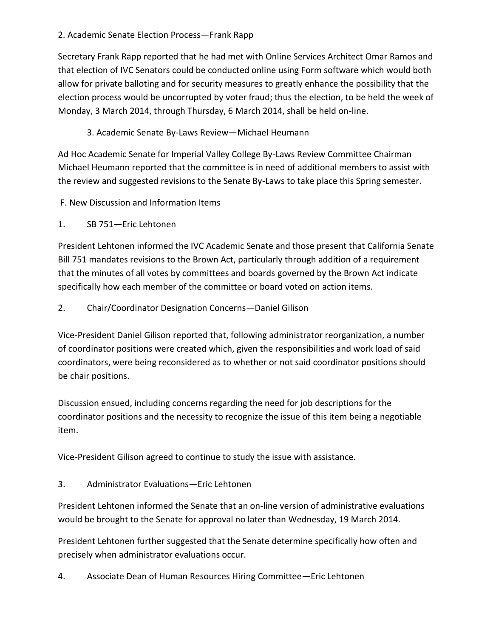#### 2. Academic Senate Election Process—Frank Rapp

Secretary Frank Rapp reported that he had met with Online Services Architect Omar Ramos and that election of IVC Senators could be conducted online using Form software which would both allow for private balloting and for security measures to greatly enhance the possibility that the election process would be uncorrupted by voter fraud; thus the election, to be held the week of Monday, 3 March 2014, through Thursday, 6 March 2014, shall be held on-line.

## 3. Academic Senate By-Laws Review—Michael Heumann

Ad Hoc Academic Senate for Imperial Valley College By-Laws Review Committee Chairman Michael Heumann reported that the committee is in need of additional members to assist with the review and suggested revisions to the Senate By-Laws to take place this Spring semester.

- F. New Discussion and Information Items
- 1. SB 751—Eric Lehtonen

President Lehtonen informed the IVC Academic Senate and those present that California Senate Bill 751 mandates revisions to the Brown Act, particularly through addition of a requirement that the minutes of all votes by committees and boards governed by the Brown Act indicate specifically how each member of the committee or board voted on action items.

#### 2. Chair/Coordinator Designation Concerns—Daniel Gilison

Vice-President Daniel Gilison reported that, following administrator reorganization, a number of coordinator positions were created which, given the responsibilities and work load of said coordinators, were being reconsidered as to whether or not said coordinator positions should be chair positions.

Discussion ensued, including concerns regarding the need for job descriptions for the coordinator positions and the necessity to recognize the issue of this item being a negotiable item.

Vice-President Gilison agreed to continue to study the issue with assistance.

3. Administrator Evaluations—Eric Lehtonen

President Lehtonen informed the Senate that an on-line version of administrative evaluations would be brought to the Senate for approval no later than Wednesday, 19 March 2014.

President Lehtonen further suggested that the Senate determine specifically how often and precisely when administrator evaluations occur.

4. Associate Dean of Human Resources Hiring Committee—Eric Lehtonen